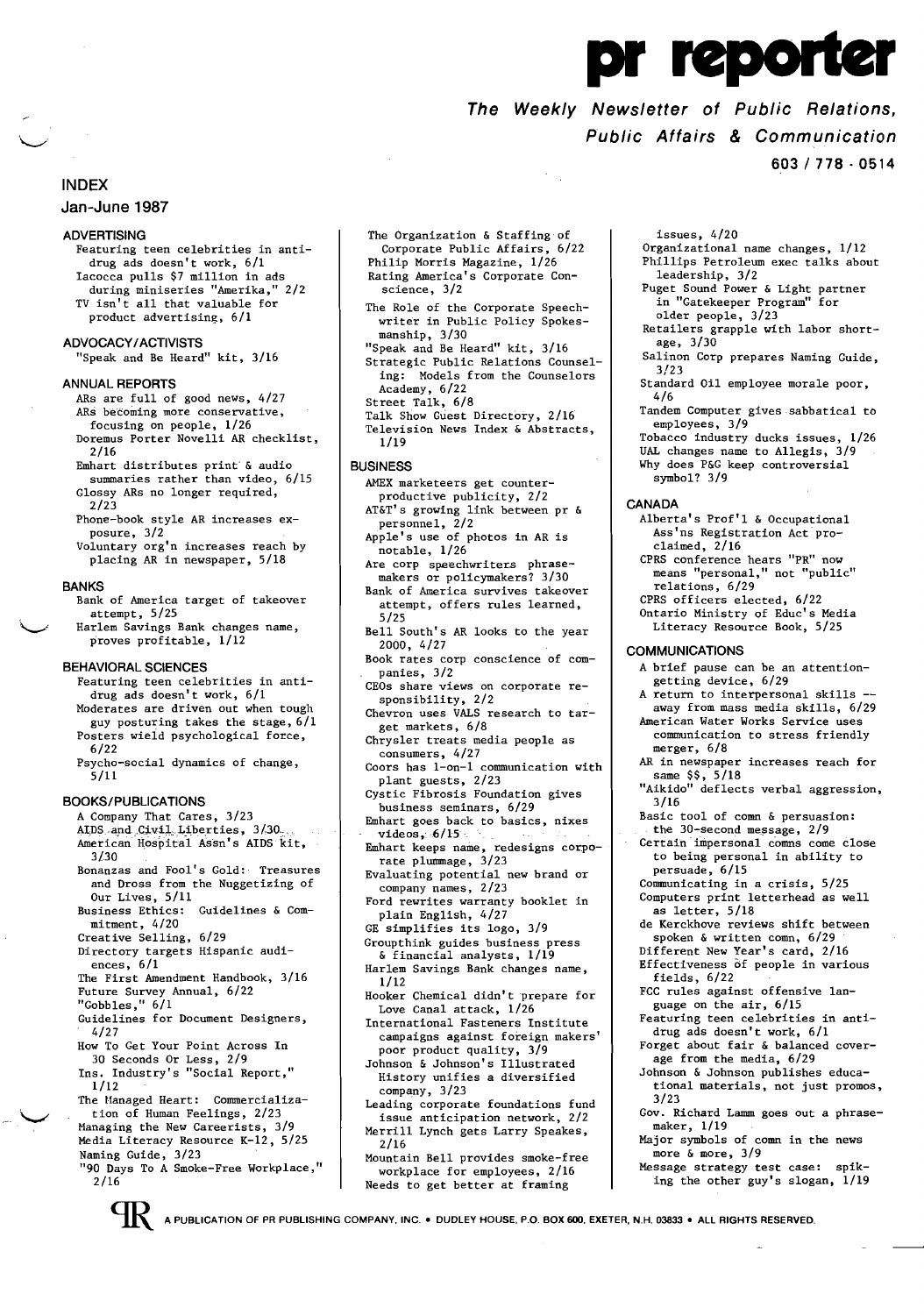# r reporter

# **The Weekly Newsletter of Public Relations, Public Affairs**  *&* **Communication**

**603/778·0514** 

# **INDEX**

### **Jan-June 1987**

#### **ADVERTISING**

- Featuring teen celebrities in antidrug ads doesn't work, 6/1 Iacocca pulls \$7 million in ads during miniseries "Amerika," 2/2 TV isn't all that valuable for product advertising, 6/1
- **ADVOCACY / ACTIVISTS** 
	- "Speak and Be Heard" kit, 3/16

#### **ANNUAL REPORTS**

- ARs are full of good news, 4/27 ARs becoming more conservative, focusing on people, 1/26 Doremus Porter Novelli AR checklist,
- 2/16 Emhart distributes print' & audio
- summaries rather than video, 6/15 Glossy ARs no longer required, 2/23
- Phone-book style AR increases exposure, 3/2
- Voluntary org'n increases reach by placing AR in newspaper, 5/18

#### **BANKS**

- Bank of America target of takeover attempt, 5/25
- Harlem Savings Bank changes name, proves profitable, 1/12

#### **BEHAVIORAL SCIENCES**

- Featuring teen celebrities in antidrug ads doesn't work, 6/1 Moderates are driven out when tough guy posturing takes the stage, 6/1
- Posters wieid psychological force, 6/22 Psycho-social dynamics of change,
- 5/11

#### **BOOKS/PUBLICATIONS**

- A Company That Cares, 3/23 AIDS and Civil Liberties, 3/30<br>American Hospital Assn's AIDS kit,
- $3/30$ Bonanzas and Fool's Gold: Treasures
- and Dross from the Nuggetizing of Our Lives, 5/11
- Business Ethics: Guidelines & Commitment, 4/20
- Creative Selling, 6/29 Directory targets Hispanic audi-
- ences, 6/1 The First Amendment Handbook, 3/16
- Future Survey Annual, 6/22
- "Gobbles," 6/1
- Guidelines for Document Designers, 4/27
- How To Get Your Point Across In
- 30 Seconds Or Less, 2/9 Ins. Industry's "Social Report," 1/12
- The Managed Heart: Commercialization of Human Feelings, 2/23 Managing the New Careerists, 3/9
- Media Literacy Resource K-12, 5/25 Naming Guide, 3/23
- "90 Days To A Smoke-Free Workplace," 2/16
- The Organization & Staffing of Corporate Public Affairs, 6/22 Philip Morris Magazine, 1/26 Rating America's Corporate Conscience, 3/2
- The Role of the Corporate Speechwriter in Public Policy Spokes-
- manship, 3/30 "Speak and Be Heard" kit, 3/16 Strategic Public Relations Counsel-
- ing: Models from the Counselors Academy, 6/22 Street Talk, 6/8 Talk Show Guest Directory, 2/16
- Television News Index & Abstracts, 1/19

#### **BUSINESS**

- AMEX marketeers get counter-
- productive publicity, 2/2 AT&T's growing link between pr &
- personnel, 2/2 Apple's use of photos in AR is
- notable, 1/26 Are corp speechwriters phrase-
- makers or policymakers? 3/30 Bank of America survives takeover attempt, offers rules learned, 5/25
- Bell South's AR looks to the year 2000, 4/27
- Book rates corp conscience of companies, 3/2
- CEOs share views on corporate responsibility, 2/2
- Chevron uses VALS research to target markets, 6/8 Chrysler treats media people as
	- consumers, 4/27
- Coors has l-on-l communication with plant guests, 2/23
	- Cystic Fibrosis Foundation gives
- business seminars, 6/29 Emhart goes back to basics, nixes
- $videos$ ,  $6/15$ Emhart keeps name, redesigns corpo-
- rate plummage, 3/23
- Evaluating potential new brand or company names, 2/23
- Ford rewrites warranty booklet in plain English, 4/27
- GE simplifies its logo, 3/9 Groupthink guides business press
- & financial analysts, 1/19 Harlem Savings Bank changes name, 1/12
- Hooker Chemical didn't prepare for Love Canal attack, 1/26
- International Fasteners Institute campaigns against foreign makers' poor product quality, 3/9
- Johnson & Johnson's Illustrated History unifies a diversified company, 3/23
- Leading corporate foundations fund issue anticipation network, 2/2 Merrill Lynch gets Larry Speakes, 2/16
- Mountain Bell provides smoke-free workplace for employees, 2/16 Needs to get better at framing

issues, 4/20 Organizational name changes, 1/12 Phillips Petroleum exec talks about leadership, 3/2 Puget Sound Power & Light partner in "Gatekeeper Program" for older people, 3/23 Retailers grapple with labor shortage, 3/30 Salinon Corp prepares Naming Guide, 3/23 Standard Oil employee morale poor, 4/6 Tandem Computer gives sabbatical to employees, 3/9 Tobacco industry ducks issues, 1/26 UAL changes name to Allegis, 3/9 Why does P&G keep controversial symbol? 3/9 **CANADA**  Alberta's Prof'l & Occupational Ass'ns Registration Act proclaimed, 2/16 CPRS conference hears "PR" now **means "personal," not "public"**  relations, 6/29 CPRS officers elected, 6/22 Ontario Ministry of Educ's Media Literacy Resource Book, 5/25 **COMMUNICATIONS**  A brief pause can be an attentiongetting device, 6/29 A return to interpersonal skills away from mass media skills, 6/29 American Water Works Service uses communication to stress friendly merger, 6/8 AR in newspaper increases reach for  $same$   $$$ ,  $5/18$ "Aikido" deflects verbal aggression, 3/16 Basic tool of comn & persuasion: the 30-second message, 2/9

- Certain'impersonal comns come close to being personal in ability to persuade, 6/15
- Communicating in a crisis, 5/25
- Computers print letterhead as well
- as letter, 5/18 de Kerckhove reviews shift between spoken & written comn, 6/29
- Different New Year's card, 2/16
- Effectiveness of people in various fields, 6/22
- FCC rules against offensive language on the air, 6/15
- Featuring teen celebrities in antidrug ads doesn't work, 6/1
- Forget about fair & balanced coverage from the media, 6/29
- Johnson & Johnson publishes educational materials, not just promos, 3/23
- Gov. Richard Lamm goes out a phrasemaker, 1/19
- Major symbols of comn in the news more & more, 3/9
- Message strategy test case: spiking the other guy's slogan, 1/19

A PUBLICATION OF PR PUBLISHING COMPANY, INC .• DUDLEY HOUSE, P.O. BOX 600, EXETER, N.H. 03833 **• ALL** RIGHTS RESERVED.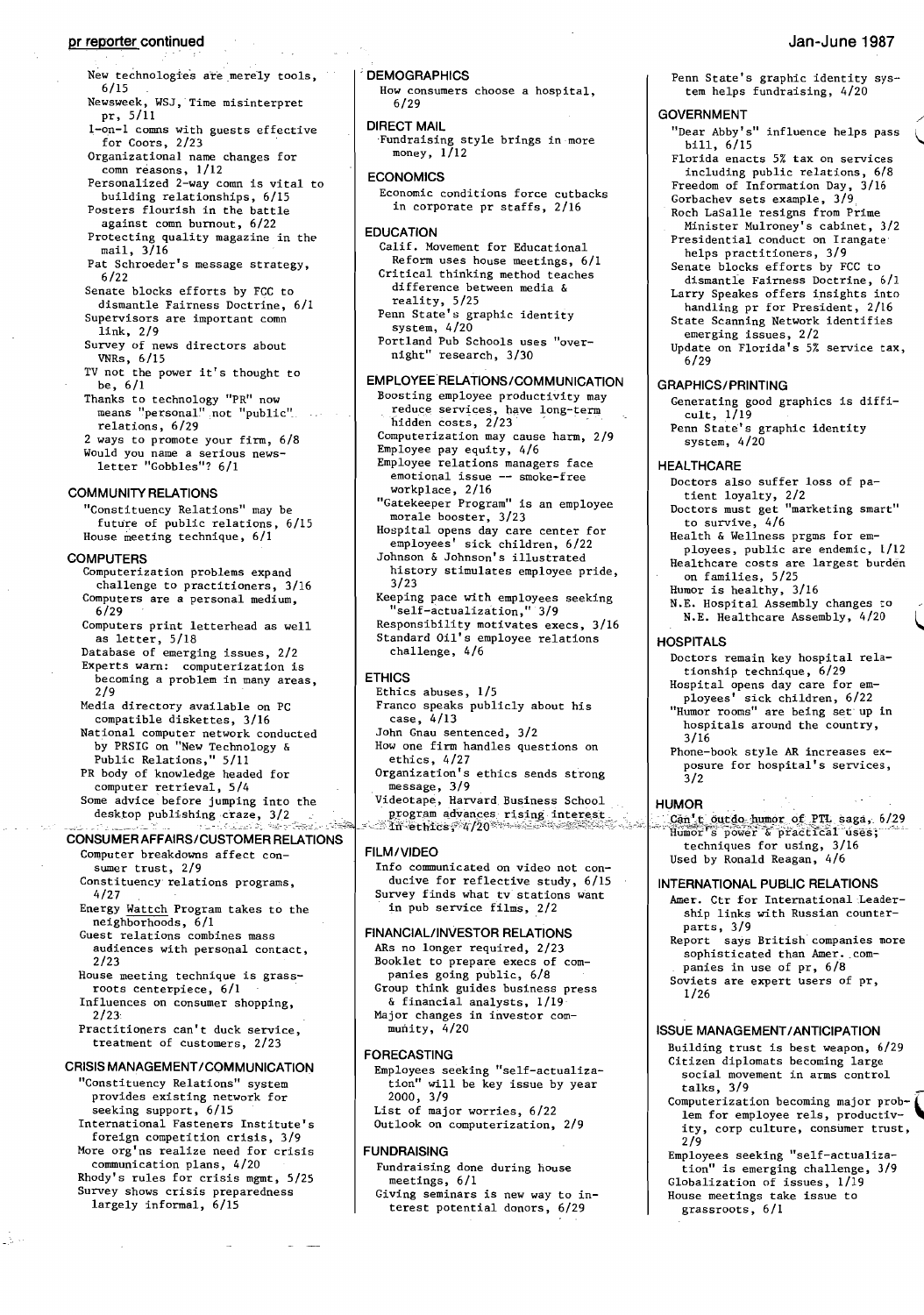# **pr reporter continued** Jan-June 1987

- Newsweek, WSJ, Time misinterpret pr, 5/11
- 1-on-1 comms with guests effective<br>for Coors, 2/23 for Coors, 2/23<br>Organizational name changes for
- comn reasons, 1/12
- Personalized 2-way comn is vital to building relationships, 6/15
- Posters flourish in the battle against comn burnout, 6/22
- Protecting quality magazine in the mail, 3/16
- Pat Schroeder's message strategy, 6/22
- Senate blocks efforts by FCC to dismantle Fairness Doctrine, 6/1
- Supervisors are important comn link, 2/9
- Survey of news directors about VNRs, 6/15
- TV not the power it's thought to be, 6/1
- Thanks to technology "PR" now  $means$  "personal" not "public". relations, 6/29
- 2 ways to promote your firm, 6/8 Would you name a serious newsletter "Gobbles"? 6/1

#### **COMMUNITY RELATIONS**

"Constituency Relations" may be future of public relations, 6/15 House meeting technique, 6/1

#### **COMPUTERS**

- Computerization problems expand challenge to practitioners, 3/16 Computers are a personal medium,  $6/29$
- Computers print letterhead as well as letter, 5/18
- Database of emerging issues, 2/2 Experts warn: computerization is becoming a problem in many areas,  $2/9$
- Media directory available on PC
- compatible diskettes, 3/16 National computer network conducted
- by PRSIG on "New Technology & Public Relations," 5/11 PR body of knowledge headed for computer retrieval, 5/4
- Some advice before jumping into the desktop publishing craze, 3/2

# CONSUMER AFFAIRS/CUSTOMER RELATIONS

- Computer breakdowns affect consumer trust, 2/9
- Constituency relations programs,  $4/27$
- Energy Wattch Program takes to the marger and account to the contract of the mass<br>Guest relations combines mass
- audiences with personal contact,  $2/23$
- House meeting technique is grassroots centerpiece, 6/1
- Influences on consumer shopping,  $2/23$
- Practitioners can't duck service, treatment of customers, 2/23

# **CRISIS MANAGEMENT/COMMUNICATION**

- "Constituency Relations" system provides existing network for seeking support, 6/15
- International Fasteners Institute's foreign competition crisis, 3/9 More org'ns realize need for crisis
- communication plans, 4/20 Rhody's rules for crisis mgmt, 5/25
- Survey shows crisis preparedness largely informal, 6/15

₿.

#### . **DEMOGRAPHICS**

How consumers choose a hospital, 6/29

**DIRECT MAIL**  ,Fundraising style brings in more money, 1/12

# **ECONOMICS**

Economic conditions force cutbacks in corporate pr staffs, 2/16

#### **EDUCATION**

- Calif. Movement for Educational Reform uses house meetings, 6/1 Critical thinking method teaches difference between media & reality, 5/25 Penn State's graphic identity system, 4/20 Portland Pub Schools uses "over-
- night" research, 3/30

#### **EMPLOYEE RELATIONS/COMMUNICATION**

- Boosting employee productivity may reduce services, have long-term hidden costs, 2/23 Computerization may cause harm, 2/9 Employee pay equity, 4/6 Employee relations managers face emotional issue -- smoke-free workplace, 2/16 "Gatekeeper Program" is an employee morale booster, 3/23 Hospital opens day care center for employees' sick children, 6/22 Johnson & Johnson's illustrated history stimulates employee pride, 3/23 Keeping pace with employees seeking "self-actualization," 3/9 Responsibility motivates execs, 3/16
- Standard Oil's employee relations challenge, 4/6

# **FTHICS**

- Ethics abuses, 1/5 Franco speaks publicly about his
- case, 4/13
- John Gnau sentenced, 3/2
- How one firm handles questions on ethics, 4/27
- Organization's ethics sends strong  $mesage, 3/9$
- Videotape, Harvard Business School program advances rising interest<br>in ethics, 4/20
- 

#### **FILMJVIDEO**

Info communicated on video not conducive for reflective study, 6/15 Survey finds what tv stations want in pub service films, 2/2

#### **FINANCIAL/INVESTOR RELATIONS**

ARs no longer required, 2/23 Booklet to prepare execs of companies going public, 6/8 Group think guides business press & financial analysts, 1/19 Major changes in investor community, 4/20

#### **FORECASTING**

Employees seeking "self-actualization" will be key issue by year 2000, 3/9 List of major worries, 6/22 Outlook on computerization, 2/9

# **FUNDRAISING**

Fundraising done during house meetings, 6/1 Giving seminars is new way to interest potential donors, 6/29

Penn State's graphic identity system helps fundraising, 4/20

# **GOVERNMENT** *-:*

- "Dear Abby's" influence helps pass bill, 6/15 Florida enacts 5% tax On services including public relations, *6/8*  Freedom of Information Day, 3/16 Gorbachev sets example,  $3/9$ l, Roch LaSalle resigns from Prime Minister Mulroney's cabinet, 3/2 Presidential conduct on Irangate helps practitioners, 3/9 Senate blocks efforts by FCC to
- dismantle Fairness Doctrine, 6/1
- Larry Speakes offers insights into handling pr for President, 2/l6
- State Scanning Network identifies
- emerging issues, 2/2 Update on Florida's 5% service tax, 6/29

#### **GRAPHICSI PRINTING**

Generating good graphics is difficult, 1/19 Penn State's graphic identity system, 4/20

#### **HEALTHCARE**

Doctors also suffer loss of patient loyalty, 2/2<br>Doctors must get "marketing smart" to survive,  $4/6$ Health & Wellness prgms for employees, public are endemic, 1/12 Healthcare costs are largest burden on families, 5/25 Humor is healthy, 3/16

N.E. Hospital Assembly changes to N.E. Healthcare Assembly, 4/20

#### **HOSPITALS**

- Doctors remain key hospital relationship technique, 6/29 Hospital opens day care for ployees' sick children, 6/22
- "Humor rooms" are being set up in hospitals around the country,  $3/16$
- Phone-book style AR increases exposure for hospital's services,  $3/2$

#### **HUMOR**

......<br>Can't outdo humor of PTL saga, 6/29<br>Humor's power & practical uses; techniques for using, 3/16 Used by Ronald Reagan, 4/6

#### **INTERNATIONAL PUBLIC RELATIONS**

- Amer. Ctr for International Leadership links with Russian counterparts, 3/9
- Report says British companies more sophisticated than Amer. companies in use of pr, 6/8
- Soviets are expert users of pr,
- 1/26

#### **ISSUE MANAGEMENTI ANTICIPATION**

- Building trust is best weapon, 6/29 Citizen diplomats becoming large social movement in arms control talks, 3/9
- talks,  $3/9$ <br>Computerization becoming major prob- $\left($ lem for employee rels, productivity, corp culture, consumer trust, 2/9
- Employees seeking "self-actualization" is emerging challenge, 3/9 Globalization of issues, 1/19 House meetings take issue to
	- grassroots, 6/1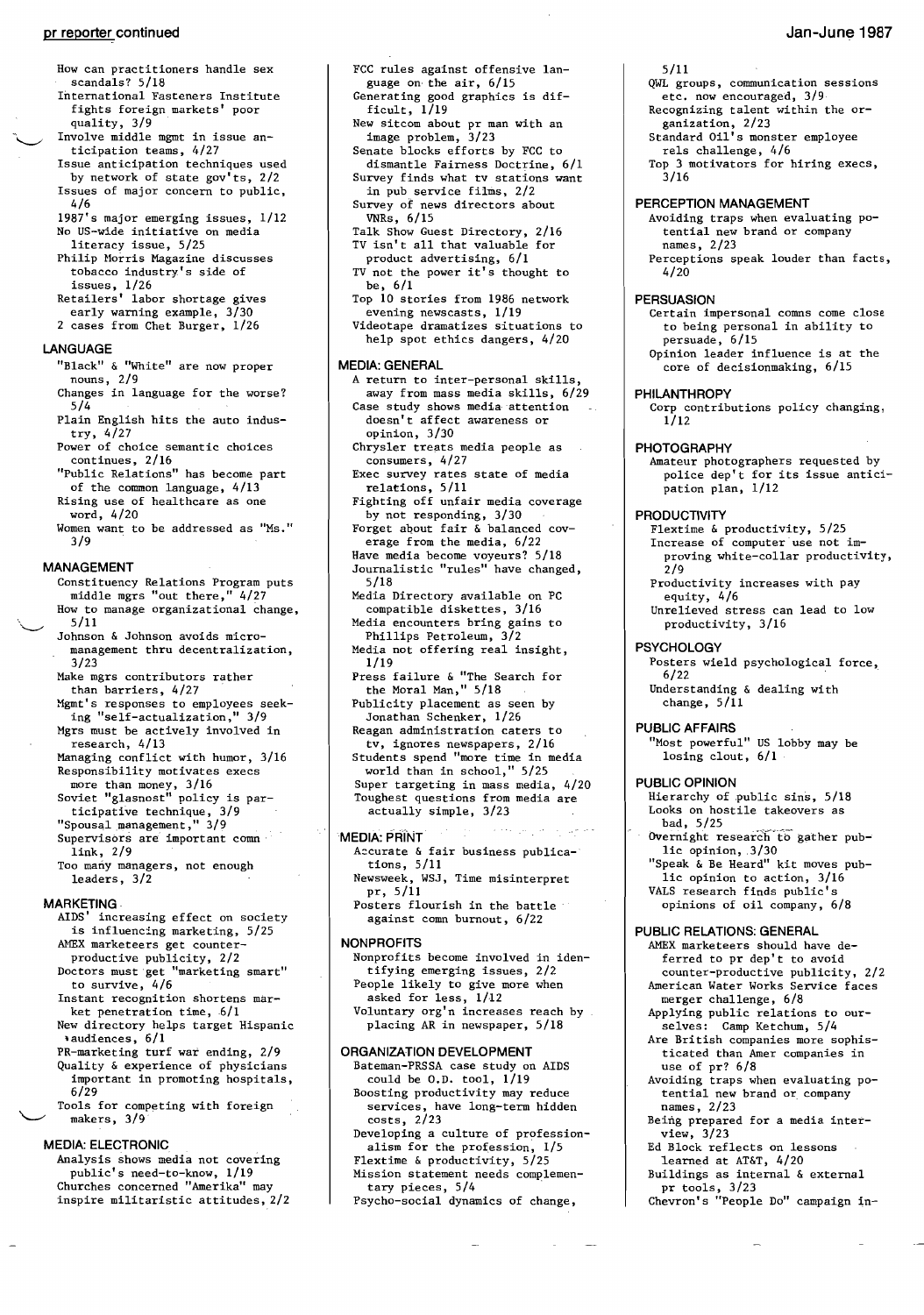#### **pr reporter continued**

- How can practitioners handle sex scandals? 5/18
- International Fasteners Institute fights foreign markets' poor quality, 3/9
- Involve middle mgmt in issue anticipation teams, 4/27
- Issue anticipation techniques used by network of state gov'ts, 2/2 Issues of major concern to public, 4/6
- 1987's major emerging issues, 1/12 No US-wide initiative on media
- literacy issue, 5/25
- Philip Horris Magazine discusses tobacco industry's side of issues, 1/26
- Retailers' labor shortage gives
- early warning example, 3/30 2 cases from Chet Burger, 1/26

#### **LANGUAGE**

- "Black" & "White" are now proper nouns, 2/9
- Changes in language for the worse? 5/4
- Plain English hits the auto industry, 4/27
- Power of choice semantic choices continues, 2/16
- "Public Relations" has become part of the common language, 4/13
- Rising use of healthcare as one word, 4/20
- Women want to be addressed as "Ms." 3/9

#### **MANAGEMENT**

- Constituency Relations Program puts middle mgrs "out there," 4/27 How to manage organizational change,  $\,5/11$ Johnson & Johnson avoids micro-
- management thru decentralization, 3/23 Make mgrs contributors rather
- than barriers, 4/27
- Mgmt's responses to employees seeking "self-actualization," 3/9
- Mgrs must be actively involved in research, 4/13
- Managing conflict with humor, 3/16 Responsibility motivates execs
- more than money, 3/16 Soviet "glasnost" policy is par-
- ticipative technique, 3/9
- "Spousal management," 3/9
- Supervisors are important comn link, 2/9
- Too many managers, not enough leaders, 3/2

#### **MARKETING·**

- AIDS' increasing effect on society is influencing marketing, 5/25 AMEX marketeers get counter-
- productive publicity, 2/2
- Doctors must get "marketing smart" to survive, 4/6
- Instant recognition shortens market penetration time,  $6/1$
- New directory helps target Hispanic .audiences, 6/1
- PR-marketing turf war ending, 2/9 Quality & experience of physicians important in promoting hospitals,
- 6/29 Tools for competing with foreign makers, 3/9

#### **MEDIA: ELECTRONIC**

Analysis shows media not covering public's need-to-know, 1/19 Churches concerned "Amerika" may inspire militaristic attitudes, 2/2

- FCC rules against offensive language on· the air, 6/15 Generating good graphics is dif-
- ficult,  $1/19$ New sitcom about pr man with an
- image problem, 3/23 Senate blocks efforts by FCC to
- dismantle Fairness Doctrine, 6/1 Survey finds what tv stations want
- in pub service films, 2/2 Survey of news directors about
- VNRs, 6/15 Talk Show Guest Directory, 2/16
- TV isn't all that valuable for product advertising, 6/1
- TV not the power it's thought to be, 6/1
- Top 10 stories from 1986 network evening newscasts, 1/19
- Videotape dramatizes situations to help spot ethics dangers, 4/20

#### **MEDIA: GENERAL**

- A return to inter-personal Skills, away from mass media skills, 6/29 Case study shows media attention doesn't affect awareness or opinion, 3/30 Chrysler treats media people as
- consumers, 4/27 Exec survey rates state of media
- relations, 5/11
- Fighting off unfair media coverage by not responding, 3/30
- Forget about fair & balanced cov-
- erage from the media, 6/22
- Have media become voyeurs? 5/18 Journalistic "rules" have changed, 5/18
- Media Directory available on PC compatible diskettes, 3/16
- Media encounters bring gains to Phillips Petroleum, 3/2
- Media not offering real insight, 1/19
- Press failure & "The Search for the Moral Man," 5/18
- Publicity placement as seen by Jonathan Schenker, 1/26 Reagan administration caters to
- tv, ignores newspapers, 2/16 Students spend "more time in media
- world than in school," 5/25 Super targeting in mass media, 4/20 Toughest questions from media are
	- actually simple, 3/23

#### **MEDIA: PRiNT·**

- Accurate & fair business publications, 5/11
- Newsweek, WSJ, Time misinterpret pr, 5/11
- Posters flourish in the battle against comn burnout, 6/22

#### **NONPROFITS**

- Nonprofits become involved in identifying emerging issues, 2/2 People likely to give more when asked for less, 1/12
- Voluntary org'n increases reach by placing AR in newspaper, 5/18

#### **ORGANIZATION DEVELOPMENT**

- Bateman-PRSSA case study on AIDS could be  $0.D.$  tool,  $1/19$ Boosting productivity may reduce
- services, have long-term hidden costs, 2/23
- Developing a culture of professionalism for the profession, 1/5 Flextime & productivity, 5/25
- Mission statement needs complementary pieces, 5/4
- Psycho-social dynamics of change,

#### 5/11

QWL groups, communication sessions etc. now encouraged, 3/9

**Jan-June 1987** 

- Recognizing talent within the or-
- ganization, 2/23 Standard Oil's monster employee
- rels challenge, 4/6
- Top 3 motivators for hiring execs,  $3/16$

# **PERCEPTION MANAGEMENT**

- Avoiding traps when evaluating potential new brand or company names, 2/23 Perceptions speak louder than facts,
- 4/20

#### **PERSUASION**

Certain impersonal comns come close to being personal in ability to persuade, 6/15 Opinion leader influence is at the core of decisionmaking, 6/15

#### **PHILANTHROPY**

Corp contributions policy changing,  $1/12$ 

#### **PHOTOGRAPHY**

Amateur photographers requested by police dep't for its issue anticipation plan, 1/12

#### **PRODUCTIVITY**

- Flextime & productivity, 5/25 Increase of computer use not improving white-collar productivity, 2/9 Productivity increases with pay
- equity, 4/6 Unrelieved stress can lead to low
- productivity, 3/16

# **PSYCHOLOGY**

change,  $5/11$ **PUBLIC AFFAIRS** 

**PUBLIC OPINION** 

bad, 5/25

losing clout, 6/1

lic opinion, .3/30

**PUBLIC RELATIONS: GENERAL**  AMEX marketeers should have deferred to pr dep't to avoid counter-productive publicity, 2/2 American Water Works Service faces

merger challenge, 6/8 Applying public relations to ourselves: Camp Ketchum, 5/4 Are British companies more sophisticated than Amer companies in

Avoiding traps when evaluating potential new brand or company

Being prepared for a media inter-

Chevron's "People Do" campaign in

Ed Block reflects on lessons learned at AT&T, 4/20 Buildings as internal & external

use of pr? 6/8

pr tools, 3/23

names, 2/23

view, 3/23

Posters wield psychological force, 6/22 Understanding & dealing with

"Most powerful" US lobby may be

Hierarchy of public sins, 5/18 Looks on hostile takeovers as

Overnight research to gather pub-

"Speak & Be Heard" kit moves public opinion to action, 3/16 VALS research finds public's opinions of oil company, 6/8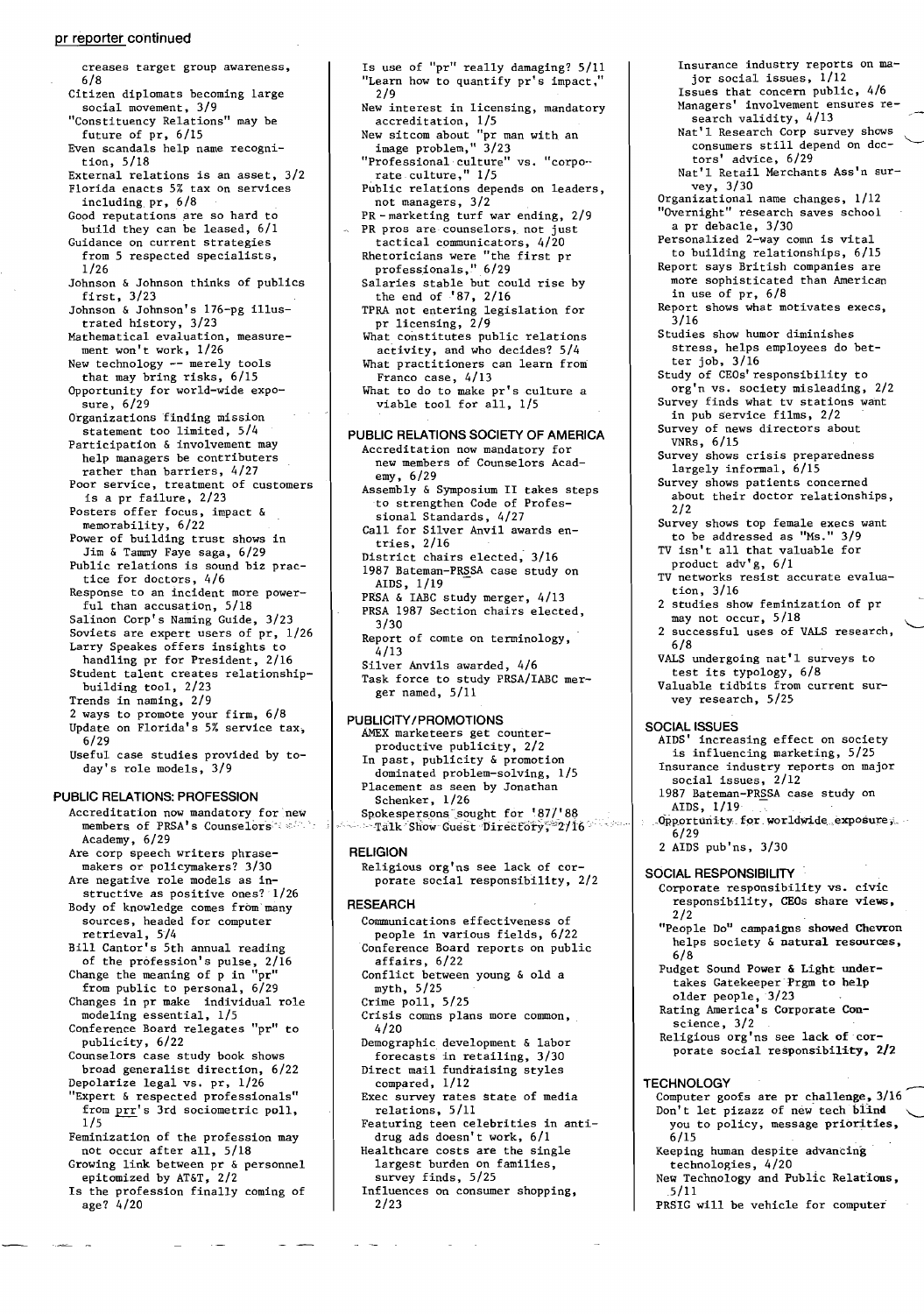#### pr reporter continued

- creases target group awareness, 6/8 Citizen diplomats becoming large social movement, 3/9 "Constituency Relations" may be future of pr, 6/15 Even scandals help name recognition, 5/18 External relations is an asset, 3/2 Florida enacts 5% tax on services including pr, 6/8 Good reputations are so hard to build they can be leased, 6/1 Guidance on current strategies from 5 respected specialists, 1/26 Johnson & Johnson thinks of publics first, 3/23 Johnson & Johnson's 176-pg illustrated history, 3/23 Mathematical evaluation, measurement won't work, 1/26 New technology -- merely tools that may bring risks, 6/15 Opportunity for world-wide exposure, 6/29 Organizations finding mission statement too limited, 5/4 Participation & involvement may help managers be contributers rather than barriers, 4/27 rather than barriers, 4/27<br>Poor service, treatment of customers is a pr failure, 2/23 Posters offer focus, impact & memorability, 6/22 Power of building trust shows in Jim & Tammy Faye saga, 6/29 Public relations is sound biz practice for doctors, 4/6 Response to an incident more powerful than accusation, 5/18 Salinon Corp's Naming Guide, 3/23 Soviets are expert users of pr, 1/26 Larry Speakes offers insights to handling pr for President, 2/16 Student talent creates relationshipbuilding tool, 2/23 Trends in naming, 2/9 2 ways to promote your firm, 6/8 Update on Florida's 5% service tax, 6/29 Useful case studies provided by today's role models, 3/9 PUBLIC RELATIONS: PROFESSION Accreditation now mandatory for'new members of PRSA's Counselors Academy, 6/29 Are corp speech writers phrase makers or policymakers? 3/30 Are negative role models as in structive as positive ones? 1/26 Body of knowledge comes from'many sources, headed for computer  $retrieval, 5/4$ Bill Cantor's 5th annual reading of the profession's pulse, 2/16 Change the meaning of p in "pr" Change the meaning of p in "pr"<br>from public to personal, 6/29 Changes in pr make individual role modeling essential, 1/5 Conference Board relegates "pr" to publicity, 6/22 Counselors case study book shows broad generalist direction, 6/22 Depolarize legal vs. pr, 1/26 "Expert & respected professionals" from prr's 3rd sociometric poll, 1/5 Feminization of the profession may not occur after all, 5/18 Growing link between pr & personnel epitomized by AT&T, 2/2
	- Is the profession finally coming of age? 4/20

#### Is use of "pr" really damaging? 5/11 "Learn how to quantify pr's impact, 2/9

- New interest in licensing, mandatory accreditation, 1/5
- New sitcom about "pr man with an image problem," 3/23
- "Professional culture" vs. "corpo·· rate culture," 1/5
- Public relations depends on leaders, not managers, 3/2
- PR marketing turf war ending, 2/9 PR pros are counselors, not just tactical communicators, 4/20
- Rhetoricians were "the first pr professionals," 6/29
- Salaries stable but could rise by the end of '87, 2/16
- TPRA not entering legislation for pr licensing,  $2/9$
- What constitutes public relations activity, and who decides? 5/4 What practitioners can learn from
- Franco case, 4/13 What to do to make pr's culture a viable tool for all, 1/5

### PUBLIC RELATIONS SOCIETY OF AMERICA

- Accreditation now mandatory for new members of Counselors Academy, 6/29 Assembly & Symposium II takes steps
- to strengthen Code of Professional Standards, 4/27
- Call for Silver Anvil awards entries, 2/16
- District chairs elected; 3/16 1987 Bateman-PRSSA case study on AIDS, 1/19
- PRSA & IABC study merger, 4/13 PRSA 1987 Section chairs elected,
- 3/30 Report of comte on terminology,
- 4/13
- Silver Anvils awarded, 4/6 Task force to study PRSA/IABC merger named, 5/11

#### PUBLICITY/PROMOTIONS

AMEx marketeers get counterproductive publicity, 2/2 In past, publicity & promotion dominated problem-solving, 1/5 Placement as seen by Jonathan Schenker, 1/26 Spoke spersons sought for '87/'88  $-$ Talk Show Guest Directory,  $2/16$ 

### **RELIGION**

Religious org'ns see lack of corporate social responsibility, 2/2

#### RESEARCH

- Communications effectiveness of people in various fields, 6/22 Conference Board reports on public affairs, 6/22 Conflict between young & old a myth, 5/25 Crime poll, 5/25 Crisis comns plans more common, 4/20 Demographic development & labor forecasts in retailing, 3/30 Direct mail fundraising styles compared, 1/12 Exec survey rates state of media relations, 5/11 Featuring teen celebrities in antidrug ads doesn't work, 6/1 Healthcare costs are the single largest burden on families, survey finds, 5/25 Influences on consumer shopping,
	- 2/23
- jor social issues, 1/12 Issues that concern public, 4/6 Hanagers' involvement ensures research validity, 4/13 Nat'l Research Corp survey shows consumers still depend on doctors' advice, 6/29 Nat'l Retail Merchants Ass'n survey, 3/30 Organizational name changes, 1/12 "Overnight" research saves school a pr debacle, 3/30 Personalized 2-way comn is vital to building relationships, 6/15 Report says British companies are more sophisticated than American in use of pr, 6/8 Report shows what motivates execs,  $3/16$ Studies show humor diminishes udies show humor diminishes<br>stress, helps employees do better job, 3/16 Study of CEOs' responsibility to org'n vs. society misleading, 2/2 Survey finds what tv stations want in pub Service films, 2/2 Survey of news directors about VNRs, 6/15 Survey shows crisis preparedness largely informal, 6/15 Survey shows patients concerned rvey shows patients concerned<br>about their doctor relationships, 2/2 Survey shows top female execs want to be addressed as "Ms." 3/9 TV isn't all that valuable for product adv'g, 6/1 TV networks resist accurate evaluation, 3/16 2 studies show feminization of pr may not occur, 5/18 2 successful uses of VALS research, 6/8 VALS undergoing nat'l surveys to test its typology, 6/8 Valuable tidbits from current survey research, 5/25 SOCIAL ISSUES AIDS' increasing effect on society is influencing marketing, 5/25 is influencing marketing, 5/25<br>Insurance industry reports on major social issues, 2/12 1987 Bateman-PRSSA case study on AIDS, 1/19 Opportunity for worldwide exposure; 6/29 2 AIDS pub'ns, 3/30 SOCIAL RESPONSIBILITY Corporate responsibility vs. civic responsibility, CEOs share views, 2/2 "People Do" campaigns showed Chevron helps society & natural resources, 6/8 Pudget Sound Power & Light under takes Gatekeeper'Prgm to help older people, 3/23 Rating America's Corporate Conscience, 3/2 Religious org'ns see lack of'corporate social responsibility, 2/2 **TECHNOLOGY**

Insurance industry reports on ma-

- Computer goofs are pr challenge, 3/16 Don't let pizazz of new tech blind you to policy, message priorities, 6/15
- Keeping human despite advancing technologies, 4/20
- New Technology and Public Relations, 5/11
- PRSIG will be vehicle for computer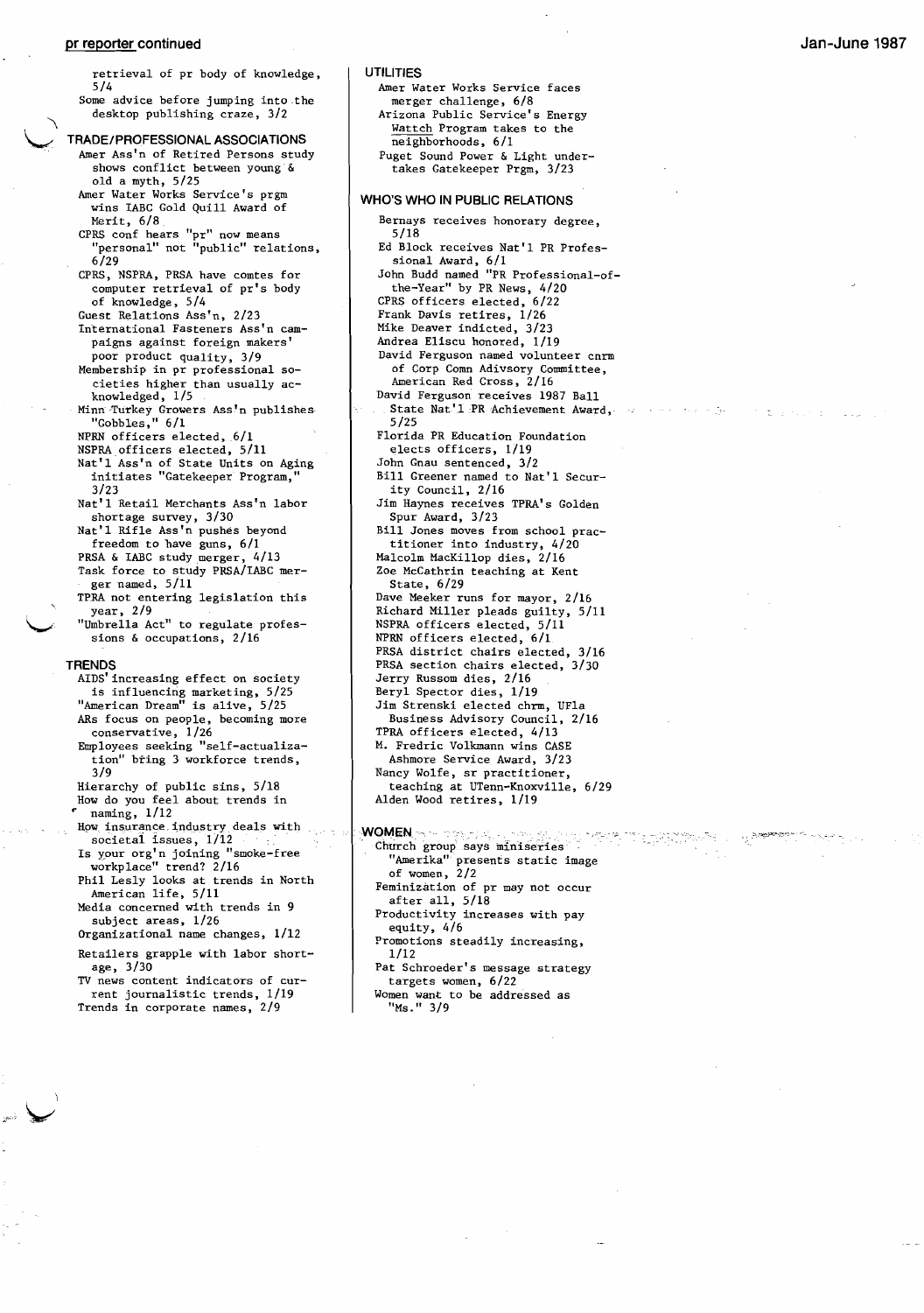#### **pr reporter continued**

retrieval of pr body of knowledge, 5/4 Some advice before jumping into the desktop publishing craze, 3/2 **TRADE/PROFESSIONAL ASSOCIATIONS**  Amer Ass'n of Retired Persons study shows conflict between young & old a myth,  $5/25$ Amer Water Works Service's prgrn wins IABC Gold Quill Award of Merit, 6/8 CPRS conf hears "pr" now means "personal" not "public" relations, 6/29 CPRS, NSPRA, PRSA have comtes for computer retrieval of pr's body of knowledge, 5/4 Guest Relations Ass'n, 2/23 International Fasteners Ass'n campaigns against foreign makers' poor product quality, 3/9 Membership in pr professional societies higher than usually acknowledged, 1/5 Minn Turkey Growers Ass'n publishes "Gobbles," 6/1 NPRN officers elected, 6/1 NSPRA officers elected, 5/11 Nat'l Ass'n of State Units on Aging initiates "Gatekeeper Program," 3/23 Nat'l Retail Merchants Ass'n labor shortage survey, 3/30 Nat'l Rifle Ass'n pushes beyond freedom to have guns, 6/1 PRSA & IABC study merger, 4/13 Task force to study PRSA/IABC merger named, 5/11 TPRA not entering legislation this year, 2/9 "Umbrella Act" to regulate professions & occupations, 2/16 **TRENDS**  AIDS'increasing effect on society is influencing marketing, 5/25 "American Dream" is alive, 5/25 ARs focus on people, becoming more conservative, 1/26 Employees seeking "self-actualization" bring 3 workforce trends, 3/9 Hierarchy of public sins, 5/18 How do you feel about trends in .. naming, 1/12 How insurance industry deals with societai issues, 1/12 Is ypur org' n joining "smoke-free workplace" trend? 2/16 Phil Lesly looks at trends in North American life, 5/11 Media concerned with trends in 9 subject areas, 1/26 Organizational name changes, 1/12

Retailers grapple with labor shortage, 3/30

TV news content indicators of current journalistic trends, 1/19 Trends in corporate names, 2/9

# **UTILITIES**

Amer Water Works Service faces merger challenge, 6/8 Arizona Public Service's Energy Wattch Program takes to the neighborhoods, 6/1 Puget Sound Power & Light undertakes Gatekeeper Prgm, 3/23 **WHO'S WHO IN PUBLIC RELATIONS**  Bernays receives honorary degree, 5/18 Ed Block receives Nat'l PR Profes-

sional Award, 6/1 John Budd named "PR Professional-ofthe-Year" by PR News, 4/20 CPRS officers elected, 6/22 Frank Davis retires, 1/26 Mike Deaver indicted, 3/23 Andrea Eliscu honored, 1/19 David Ferguson named volunteer cnrm of Corp Comn Adivsory Committee, American Red Cross, 2/16 David Ferguson receives 1987 Ball State Nat'1 PR Achievement Award, 5/25 Florida PR Education Foundation elects officers, 1/19 John Gnau sentenced, 3/2 Bill Greener named to Nat'l Secur-

الوج ما بريد الأمريكي

Tugiya<br>Pasa

ity Council, 2/16 Jim Haynes receives TPRA's Golden Spur Award, 3/23 Bill Jones moves from school practitioner into industry, 4/20 Malcolm MacKillop dies, 2/16 Zoe McCathrin teaching at Kent

State, 6/29 Dave Meeker runs for mayor, 2/16 Richard Miller pleads guilty, 5/11 NSPRA officers elected, 5/11 NPRN officers elected, 6/1 PRSA district chairs elected, 3/16 PRSA section chairs elected, 3/30 Jerry Russom dies, 2/16 Beryl Spector dies, 1/19 Jim Strenski elected chrrn, UFla Business Advisory Council, 2/16 TPRA officers elected, 4/13 M. Fredric Volkmann wins CASE Ashmore Service Award, 3/23 Nancy Wolfe, sr practitioner, teaching at UTenn-Knoxville, 6/29 Alden Wood retires, 1/19

**WOMEN** ~~~~

"Ms." 3/9

Church group says miniseries "Amerika" presents static image of women, 2/2 Feminization of pr may not occur after all, 5/18 Productivity increases with pay equity, 4/6 Promotions steadily increasing, 1/12 Pat Schroeder's message strategy targets women, 6/22 Women want to be addressed as